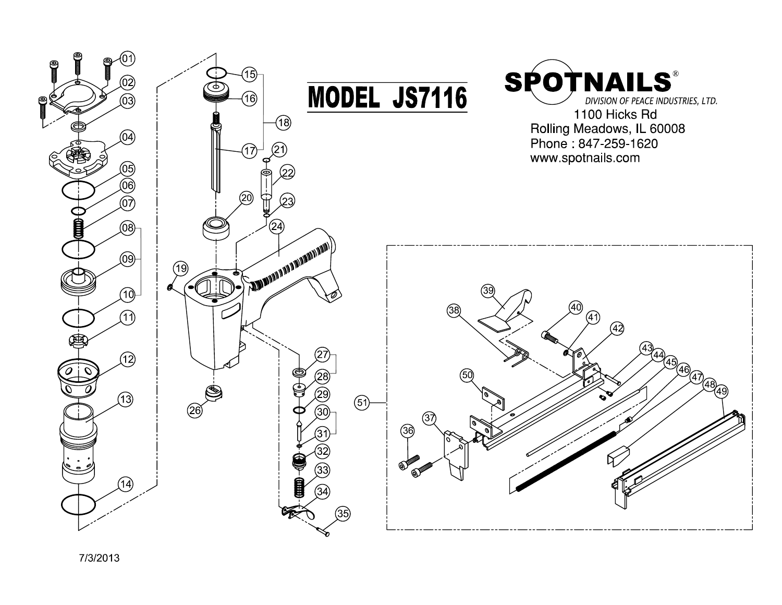

7/3/2013